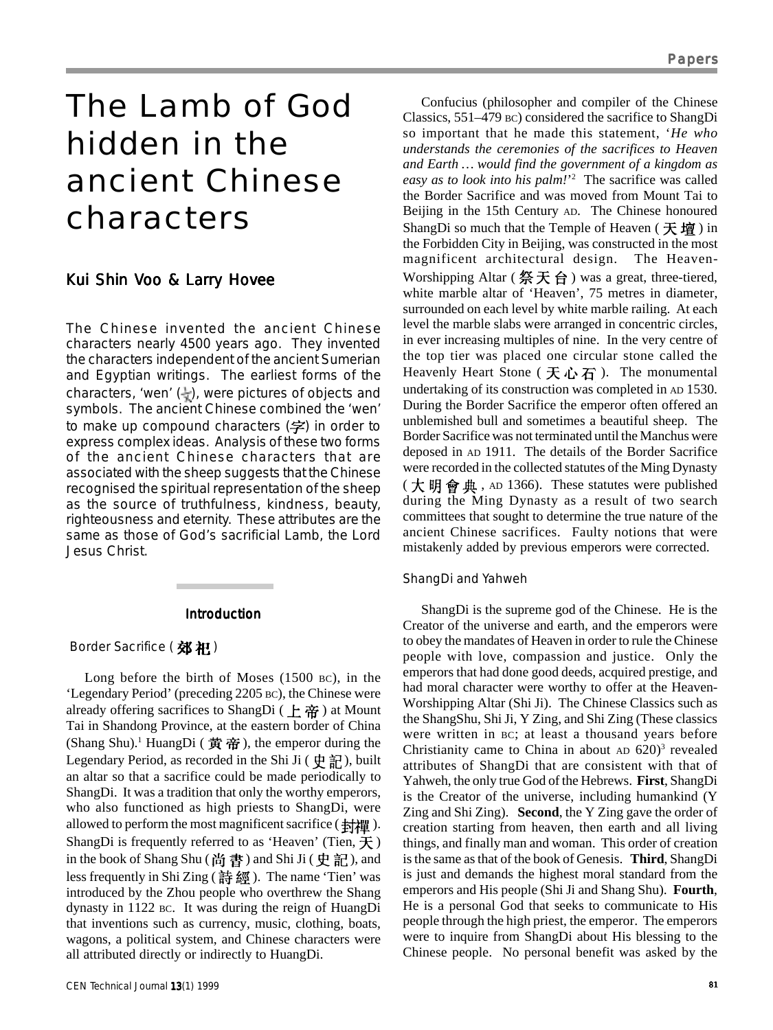# The Lamb of God hidden in the ancient Chinese characters

## Kui Shin Voo & Larry Hovee

The Chinese invented the ancient Chinese characters nearly 4500 years ago. They invented the characters independent of the ancient Sumerian and Egyptian writings. The earliest forms of the characters, 'wen'  $(\frac{1}{3})$ , were pictures of objects and symbols. The ancient Chinese combined the 'wen' to make up compound characters  $(\not\cong)$  in order to express complex ideas. Analysis of these two forms of the ancient Chinese characters that are associated with the sheep suggests that the Chinese recognised the spiritual representation of the sheep as the source of truthfulness, kindness, beauty, righteousness and eternity. These attributes are the same as those of God's sacrificial Lamb, the Lord Jesus Christ.

## Introduction

## *Border Sacrifice* (郊祀)

Long before the birth of Moses (1500 BC), in the 'Legendary Period' (preceding 2205 BC), the Chinese were already offering sacrifices to ShangDi (上帝) at Mount Tai in Shandong Province, at the eastern border of China (Shang Shu).<sup>1</sup> HuangDi (黄帝), the emperor during the Legendary Period, as recorded in the Shi Ji ( $\psi \equiv 1$ ), built an altar so that a sacrifice could be made periodically to ShangDi. It was a tradition that only the worthy emperors, who also functioned as high priests to ShangDi, were allowed to perform the most magnificent sacrifice (封裡). ShangDi is frequently referred to as 'Heaven' (Tien,  $\pm$ ) in the book of Shang Shu (尚書) and Shi Ji (史記), and less frequently in Shi Zing (詩經). The name 'Tien' was introduced by the Zhou people who overthrew the Shang dynasty in 1122 BC. It was during the reign of HuangDi that inventions such as currency, music, clothing, boats, wagons, a political system, and Chinese characters were all attributed directly or indirectly to HuangDi.

Confucius (philosopher and compiler of the Chinese Classics, 551–479 BC) considered the sacrifice to ShangDi so important that he made this statement, '*He who understands the ceremonies of the sacrifices to Heaven and Earth … would find the government of a kingdom as easy as to look into his palm!*' 2 The sacrifice was called the Border Sacrifice and was moved from Mount Tai to Beijing in the 15th Century AD. The Chinese honoured ShangDi so much that the Temple of Heaven ( $\pm \hat{H}$ ) in the Forbidden City in Beijing, was constructed in the most magnificent architectural design. The Heaven-Worshipping Altar ( $\frac{A}{A}$   $\overrightarrow{B}$ ) was a great, three-tiered, white marble altar of 'Heaven', 75 metres in diameter, surrounded on each level by white marble railing. At each level the marble slabs were arranged in concentric circles, in ever increasing multiples of nine. In the very centre of the top tier was placed one circular stone called the Heavenly Heart Stone ( $\pm$   $\Delta$   $\rightarrow$  ). The monumental undertaking of its construction was completed in AD 1530. During the Border Sacrifice the emperor often offered an unblemished bull and sometimes a beautiful sheep. The Border Sacrifice was not terminated until the Manchus were deposed in AD 1911. The details of the Border Sacrifice were recorded in the collected statutes of the Ming Dynasty (大明會典,  $AD$  1366). These statutes were published during the Ming Dynasty as a result of two search committees that sought to determine the true nature of the ancient Chinese sacrifices. Faulty notions that were mistakenly added by previous emperors were corrected.

## *ShangDi and Yahweh*

ShangDi is the supreme god of the Chinese. He is the Creator of the universe and earth, and the emperors were to obey the mandates of Heaven in order to rule the Chinese people with love, compassion and justice. Only the emperors that had done good deeds, acquired prestige, and had moral character were worthy to offer at the Heaven-Worshipping Altar (Shi Ji). The Chinese Classics such as the ShangShu, Shi Ji, Y Zing, and Shi Zing (These classics were written in BC; at least a thousand years before Christianity came to China in about AD 620)<sup>3</sup> revealed attributes of ShangDi that are consistent with that of Yahweh, the only true God of the Hebrews. **First**, ShangDi is the Creator of the universe, including humankind (Y Zing and Shi Zing). **Second**, the Y Zing gave the order of creation starting from heaven, then earth and all living things, and finally man and woman. This order of creation is the same as that of the book of Genesis. **Third**, ShangDi is just and demands the highest moral standard from the emperors and His people (Shi Ji and Shang Shu). **Fourth**, He is a personal God that seeks to communicate to His people through the high priest, the emperor. The emperors were to inquire from ShangDi about His blessing to the Chinese people. No personal benefit was asked by the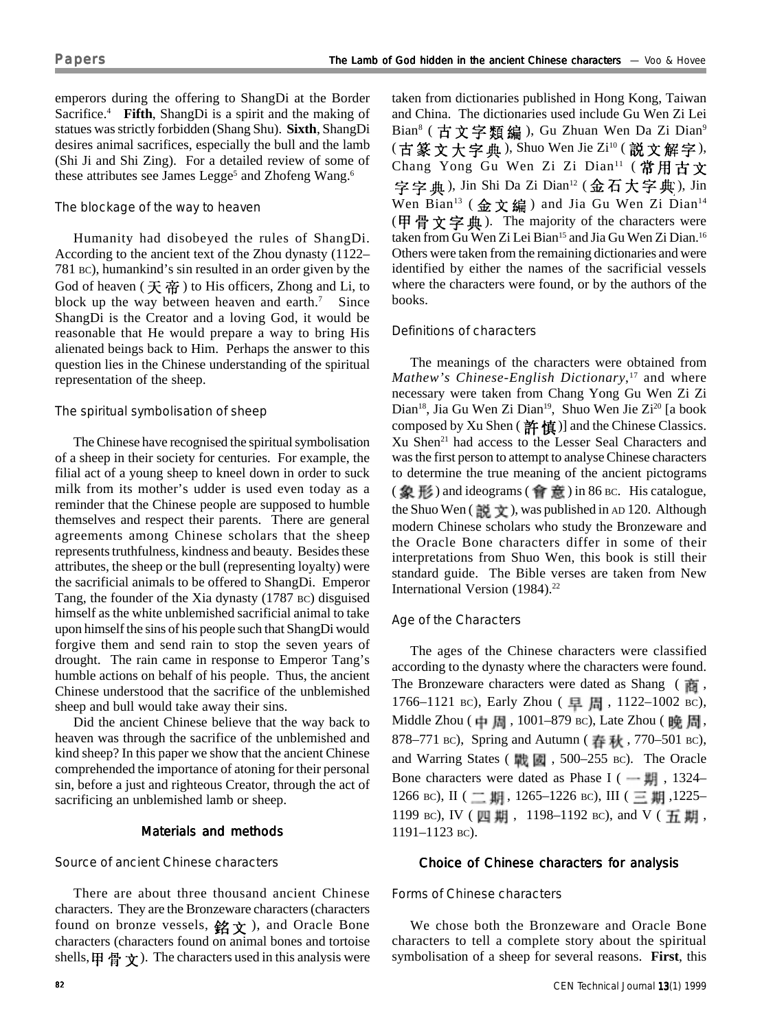emperors during the offering to ShangDi at the Border Sacrifice.<sup>4</sup> Fifth, ShangDi is a spirit and the making of statues was strictly forbidden (Shang Shu). **Sixth**, ShangDi desires animal sacrifices, especially the bull and the lamb (Shi Ji and Shi Zing). For a detailed review of some of these attributes see James Legge<sup>5</sup> and Zhofeng Wang.<sup>6</sup>

## *The blockage of the way to heaven*

Humanity had disobeyed the rules of ShangDi. According to the ancient text of the Zhou dynasty (1122– 781 BC), humankind's sin resulted in an order given by the God of heaven ( $\pm \hat{\mathfrak{m}}$ ) to His officers, Zhong and Li, to block up the way between heaven and earth.<sup>7</sup> Since ShangDi is the Creator and a loving God, it would be reasonable that He would prepare a way to bring His alienated beings back to Him. Perhaps the answer to this question lies in the Chinese understanding of the spiritual representation of the sheep.

## *The spiritual symbolisation of sheep*

The Chinese have recognised the spiritual symbolisation of a sheep in their society for centuries. For example, the filial act of a young sheep to kneel down in order to suck milk from its mother's udder is used even today as a reminder that the Chinese people are supposed to humble themselves and respect their parents. There are general agreements among Chinese scholars that the sheep represents truthfulness, kindness and beauty. Besides these attributes, the sheep or the bull (representing loyalty) were the sacrificial animals to be offered to ShangDi. Emperor Tang, the founder of the Xia dynasty (1787 BC) disguised himself as the white unblemished sacrificial animal to take upon himself the sins of his people such that ShangDi would forgive them and send rain to stop the seven years of drought. The rain came in response to Emperor Tang's humble actions on behalf of his people. Thus, the ancient Chinese understood that the sacrifice of the unblemished sheep and bull would take away their sins.

Did the ancient Chinese believe that the way back to heaven was through the sacrifice of the unblemished and kind sheep? In this paper we show that the ancient Chinese comprehended the importance of atoning for their personal sin, before a just and righteous Creator, through the act of sacrificing an unblemished lamb or sheep.

## Materials and methods

## *Source of ancient Chinese characters*

There are about three thousand ancient Chinese characters. They are the Bronzeware characters (characters found on bronze vessels,  $\hat{\mathbf{g}} \times \mathbf{h}$  ), and Oracle Bone characters (characters found on animal bones and tortoise shells,  $\boxplus \bigoplus \rightarrow$ ). The characters used in this analysis were taken from dictionaries published in Hong Kong, Taiwan and China. The dictionaries used include Gu Wen Zi Lei Bian<sup>8</sup> ( 古文字類編 ), Gu Zhuan Wen Da Zi Dian<sup>9</sup> (古篆文大字典), Shuo Wen Jie Zi<sup>10</sup> ( 説文解字), Chang Yong Gu Wen Zi Zi Dian<sup>11</sup> (常用古文 字字典), Jin Shi Da Zi Dian<sup>12</sup> (金石大字典), Jin Wen Bian<sup>13</sup> (金文編) and Jia Gu Wen Zi Dian<sup>14</sup> (甲骨文字曲). The majority of the characters were taken from Gu Wen Zi Lei Bian<sup>15</sup> and Jia Gu Wen Zi Dian.<sup>16</sup> Others were taken from the remaining dictionaries and were identified by either the names of the sacrificial vessels where the characters were found, or by the authors of the books.

## *Definitions of characters*

The meanings of the characters were obtained from *Mathew's Chinese-English Dictionary*, 17 and where necessary were taken from Chang Yong Gu Wen Zi Zi Dian<sup>18</sup>, Jia Gu Wen Zi Dian<sup>19</sup>, Shuo Wen Jie Zi<sup>20</sup> [a book composed by Xu Shen  $(\frac{25}{11})$  and the Chinese Classics. Xu Shen21 had access to the Lesser Seal Characters and was the first person to attempt to analyse Chinese characters to determine the true meaning of the ancient pictograms (象形) and ideograms (會意) in 86 BC. His catalogue, the Shuo Wen ( $\frac{1}{2}$ , was published in AD 120. Although modern Chinese scholars who study the Bronzeware and the Oracle Bone characters differ in some of their interpretations from Shuo Wen, this book is still their standard guide. The Bible verses are taken from New International Version (1984).<sup>22</sup>

## *Age of the Characters*

The ages of the Chinese characters were classified according to the dynasty where the characters were found. The Bronzeware characters were dated as Shang  $($ 1766-1121 вс), Early Zhou (早 周, 1122-1002 вс), Middle Zhou  $($ 中 周, 1001-879 BC), Late Zhou  $($ 晚 周, 878-771 вс), Spring and Autumn (春秋, 770-501 вс), and Warring States ( 職 國, 500-255 BC). The Oracle Bone characters were dated as Phase I ( $\#$ , 1324– 1266 вс), II (  $\equiv$  Щ, 1265-1226 вс), III (  $\equiv$  Щ, 1225-1199 вс), IV ( 四 期, 1198-1192 вс), and V ( 五 期, 1191–1123 BC).

#### Choice of Chinese characters for analysis

## *Forms of Chinese characters*

We chose both the Bronzeware and Oracle Bone characters to tell a complete story about the spiritual symbolisation of a sheep for several reasons. **First**, this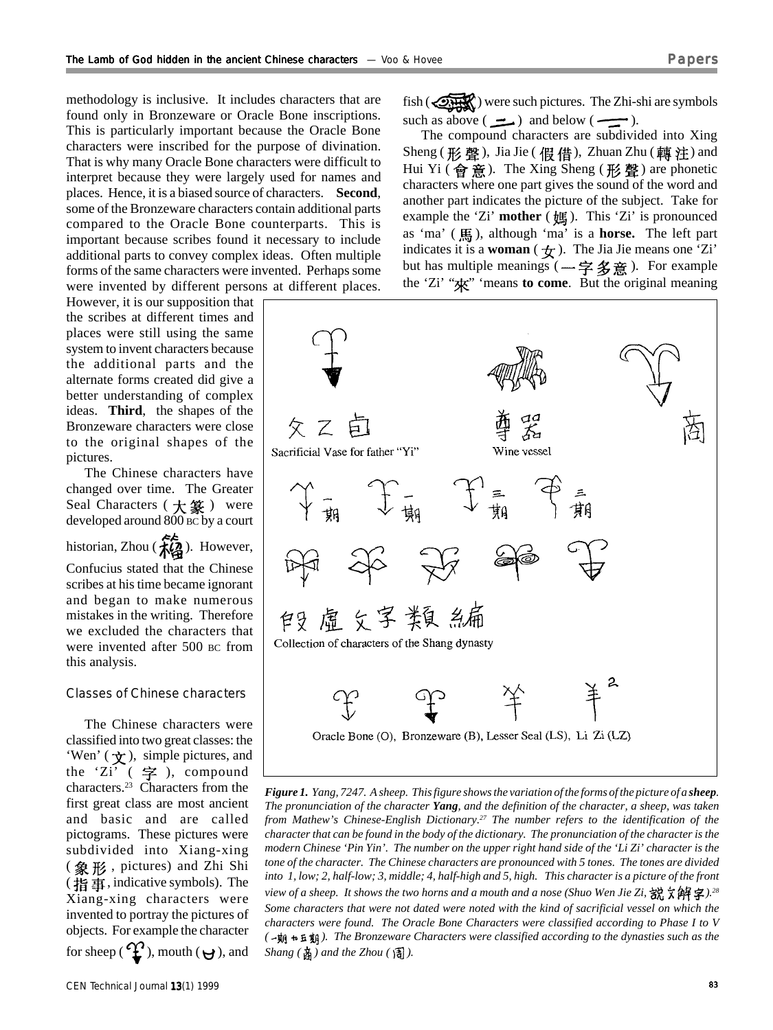methodology is inclusive. It includes characters that are found only in Bronzeware or Oracle Bone inscriptions. This is particularly important because the Oracle Bone characters were inscribed for the purpose of divination. That is why many Oracle Bone characters were difficult to interpret because they were largely used for names and places. Hence, it is a biased source of characters. **Second**, some of the Bronzeware characters contain additional parts compared to the Oracle Bone counterparts. This is important because scribes found it necessary to include additional parts to convey complex ideas. Often multiple forms of the same characters were invented. Perhaps some were invented by different persons at different places.

However, it is our supposition that the scribes at different times and places were still using the same system to invent characters because the additional parts and the alternate forms created did give a better understanding of complex ideas. **Third**, the shapes of the Bronzeware characters were close to the original shapes of the pictures.

The Chinese characters have changed over time. The Greater Seal Characters (大篆) were developed around 800 BC by a court historian, Zhou ( $\widehat{\mathcal{H}_{\mathcal{A}}}$ ). However, Confucius stated that the Chinese scribes at his time became ignorant and began to make numerous mistakes in the writing. Therefore we excluded the characters that were invented after 500 BC from this analysis.

## *Classes of Chinese characters*

The Chinese characters were classified into two great classes: the 'Wen' ( $\dot{\mathbf{\tau}}$ ), simple pictures, and the 'Zi'  $($   $\frac{1}{2}$   $)$ , compound characters.23 Characters from the first great class are most ancient and basic and are called pictograms. These pictures were subdivided into Xiang-xing  $($  象形, pictures) and Zhi Shi  $($ 指事, indicative symbols). The Xiang-xing characters were invented to portray the pictures of objects. For example the character for sheep ( $\mathbf{\hat{P}}$ ), mouth ( $\mathbf{\Theta}$ ), and

fish ( $\bigotimes$ ) were such pictures. The Zhi-shi are symbols such as above  $(\underline{\hspace{1cm}})$  and below  $(\underline{\hspace{1cm}})$ .

The compound characters are subdivided into Xing Sheng (形 聲), Jia Jie (假借), Zhuan Zhu (轉注) and Hui Yi (會意). The Xing Sheng (形聲) are phonetic characters where one part gives the sound of the word and another part indicates the picture of the subject. Take for example the 'Zi'  $\text{mother } (\text{ }\text{ }\text{ }\text{ }\text{ }m)$ . This 'Zi' is pronounced as 'ma' ( ), although 'ma' is a **horse.** The left part indicates it is a **woman**  $(\boldsymbol{\psi})$ . The Jia Jie means one 'Zi' but has multiple meanings ( $-\frac{1}{2}$  多意). For example the 'Zi' "來" 'means **to come**. But the original meaning



*Figure 1. Yang, 7247. A sheep. This figure shows the variation of the forms of the picture of a sheep. The pronunciation of the character Yang, and the definition of the character, a sheep, was taken from Mathew's Chinese-English Dictionary.27 The number refers to the identification of the character that can be found in the body of the dictionary. The pronunciation of the character is the modern Chinese 'Pin Yin'. The number on the upper right hand side of the 'Li Zi' character is the tone of the character. The Chinese characters are pronounced with 5 tones. The tones are divided into 1, low; 2, half-low; 3, middle; 4, half-high and 5, high. This character is a picture of the front view of a sheep. It shows the two horns and a mouth and a nose (Shuo Wen Jie Zi,*  $\frac{1}{6}$ *,*  $\frac{1}{6}$  $\frac{1}{6}$  $\frac{1}{4}$  $\frac{1}{2}$ *).<sup>28</sup> Some characters that were not dated were noted with the kind of sacrificial vessel on which the characters were found. The Oracle Bone Characters were classified according to Phase I to V ( ). The Bronzeware Characters were classified according to the dynasties such as the Shang* (高) and the Zhou (周).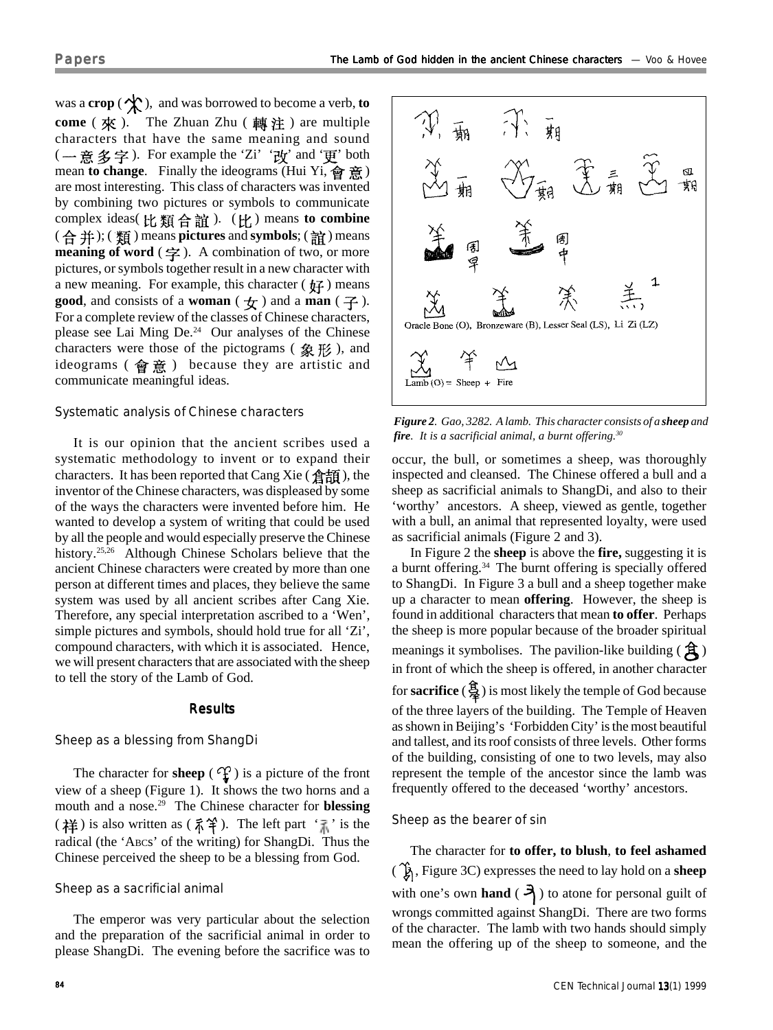was a **crop** ( $\bigwedge$ ), and was borrowed to become a verb, **to come** (來). The Zhuan Zhu (轉注) are multiple characters that have the same meaning and sound  $(-$  意名字). For example the 'Zi' '改' and '更' both mean **to change**. Finally the ideograms (Hui Yi,  $\hat{\mathbf{g}}(\hat{\mathbf{g}})$ ) are most interesting. This class of characters was invented by combining two pictures or symbols to communicate complex ideas(比類合誼). (比) means to combine (合并); (類) means pictures and symbols; (詣) means **meaning of word** (字). A combination of two, or more pictures, or symbols together result in a new character with a new meaning. For example, this character ( $\oint$ T) means **good**, and consists of a **woman**  $(\pm)$  and a **man**  $(\pm)$ . For a complete review of the classes of Chinese characters, please see Lai Ming  $De<sup>24</sup>$  Our analyses of the Chinese characters were those of the pictograms ( $\oint$ ), and ideograms ( $\hat{\mathbf{g}}(\hat{\mathbf{g}})$  because they are artistic and communicate meaningful ideas.

#### *Systematic analysis of Chinese characters*

It is our opinion that the ancient scribes used a systematic methodology to invent or to expand their characters. It has been reported that Cang Xie ( $\hat{\mathbf{\hat{f}}}$ ), the inventor of the Chinese characters, was displeased by some of the ways the characters were invented before him. He wanted to develop a system of writing that could be used by all the people and would especially preserve the Chinese history.<sup>25,26</sup> Although Chinese Scholars believe that the ancient Chinese characters were created by more than one person at different times and places, they believe the same system was used by all ancient scribes after Cang Xie. Therefore, any special interpretation ascribed to a 'Wen', simple pictures and symbols, should hold true for all 'Zi', compound characters, with which it is associated. Hence, we will present characters that are associated with the sheep to tell the story of the Lamb of God.

#### **Results**

#### *Sheep as a blessing from ShangDi*

The character for **sheep** ( $\mathcal{C}_{\mathbf{y}}^{\Omega}$ ) is a picture of the front view of a sheep (Figure 1). It shows the two horns and a mouth and a nose.29 The Chinese character for **blessing** (祥) is also written as ( $\frac{2}{3}$ ). The left part ' $\frac{1}{3}$ ' is the radical (the 'ABCs' of the writing) for ShangDi. Thus the Chinese perceived the sheep to be a blessing from God.

#### *Sheep as a sacrificial animal*

The emperor was very particular about the selection and the preparation of the sacrificial animal in order to please ShangDi. The evening before the sacrifice was to



*Figure 2. Gao, 3282. A lamb. This character consists of a sheep and fire. It is a sacrificial animal, a burnt offering.30*

occur, the bull, or sometimes a sheep, was thoroughly inspected and cleansed. The Chinese offered a bull and a sheep as sacrificial animals to ShangDi, and also to their 'worthy' ancestors. A sheep, viewed as gentle, together with a bull, an animal that represented loyalty, were used as sacrificial animals (Figure 2 and 3).

In Figure 2 the **sheep** is above the **fire,** suggesting it is a burnt offering.34 The burnt offering is specially offered to ShangDi. In Figure 3 a bull and a sheep together make up a character to mean **offering**. However, the sheep is found in additional characters that mean **to offer**. Perhaps the sheep is more popular because of the broader spiritual meanings it symbolises. The pavilion-like building  $(\mathbf{\hat{f}})$ in front of which the sheep is offered, in another character for **sacrifice**  $(\frac{\pi}{2})$  is most likely the temple of God because of the three layers of the building. The Temple of Heaven as shown in Beijing's 'Forbidden City' is the most beautiful and tallest, and its roof consists of three levels. Other forms of the building, consisting of one to two levels, may also represent the temple of the ancestor since the lamb was frequently offered to the deceased 'worthy' ancestors.

#### *Sheep as the bearer of sin*

The character for **to offer, to blush**, **to feel ashamed** ( , Figure 3C) expresses the need to lay hold on a **sheep** with one's own **hand**  $\left(\frac{3}{2}\right)$  to atone for personal guilt of wrongs committed against ShangDi. There are two forms of the character. The lamb with two hands should simply mean the offering up of the sheep to someone, and the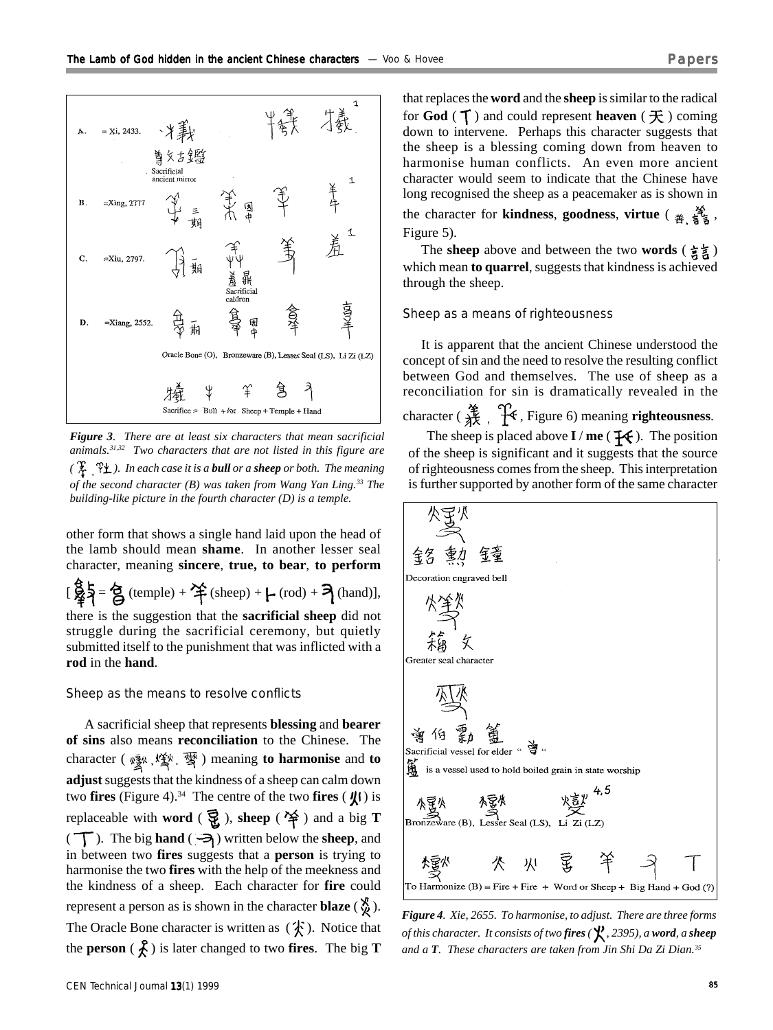

*Figure 3. There are at least six characters that mean sacrificial animals.31,32 Two characters that are not listed in this figure are ( ). In each case it is a bull or a sheep or both. The meaning of the second character (B) was taken from Wang Yan Ling.33 The building-like picture in the fourth character (D) is a temple.*

other form that shows a single hand laid upon the head of the lamb should mean **shame**. In another lesser seal character, meaning **sincere**, **true, to bear**, **to perform**

 $[\frac{8}{3}I = \frac{8}{9}$  (temple) +  $\hat{I}$  (sheep) +  $\vdash$  (rod) +  $\hat{I}$  (hand)], there is the suggestion that the **sacrificial sheep** did not struggle during the sacrificial ceremony, but quietly submitted itself to the punishment that was inflicted with a **rod** in the **hand**.

## *Sheep as the means to resolve conflicts*

A sacrificial sheep that represents **blessing** and **bearer of sins** also means **reconciliation** to the Chinese. The character ( $\frac{164}{3}$ , , 等, 弯) meaning **to harmonise** and **to adjust** suggests that the kindness of a sheep can calm down two **fires** (Figure 4).<sup>34</sup> The centre of the two **fires**  $(\mathbf{\psi})$  is replaceable with **word**  $\left(\frac{Q}{R}\right)$ , **sheep**  $\left(\frac{X}{T}\right)$  and a big **T**  $(\top)$ . The big **hand**  $(\neg \neg)$  written below the **sheep**, and in between two **fires** suggests that a **person** is trying to harmonise the two **fires** with the help of the meekness and the kindness of a sheep. Each character for **fire** could represent a person as is shown in the character **blaze** ( $\frac{\mathcal{R}}{\mathcal{P}}$ ). The Oracle Bone character is written as  $(\circ \mathbf{\hat{x}})$ . Notice that the **person** ( $\hat{\mathcal{R}}$ ) is later changed to two **fires**. The big **T** 

that replaces the **word** and the **sheep** is similar to the radical for **God** ( $\uparrow$ ) and could represent **heaven** ( $\uparrow \uparrow$ ) coming down to intervene. Perhaps this character suggests that the sheep is a blessing coming down from heaven to harmonise human conflicts. An even more ancient character would seem to indicate that the Chinese have long recognised the sheep as a peacemaker as is shown in

the character for **kindness**, **goodness**, **virtue** ( $\frac{2}{15}$ ,  $\frac{2}{15}$ , Figure 5).

The **sheep** above and between the two **words**  $\left(\frac{1}{2}\right)$ which mean **to quarrel**, suggests that kindness is achieved through the sheep.

#### *Sheep as a means of righteousness*

It is apparent that the ancient Chinese understood the concept of sin and the need to resolve the resulting conflict between God and themselves. The use of sheep as a reconciliation for sin is dramatically revealed in the character ( , Figure 6) meaning **righteousness**.

The sheep is placed above **I** / **me** ( $\frac{1}{2}$ ). The position of the sheep is significant and it suggests that the source of righteousness comes from the sheep. This interpretation is further supported by another form of the same character



*Figure 4. Xie, 2655. To harmonise, to adjust. There are three forms of this character. It consists of two fires ( , 2395), a word, a sheep and a T. These characters are taken from Jin Shi Da Zi Dian.35*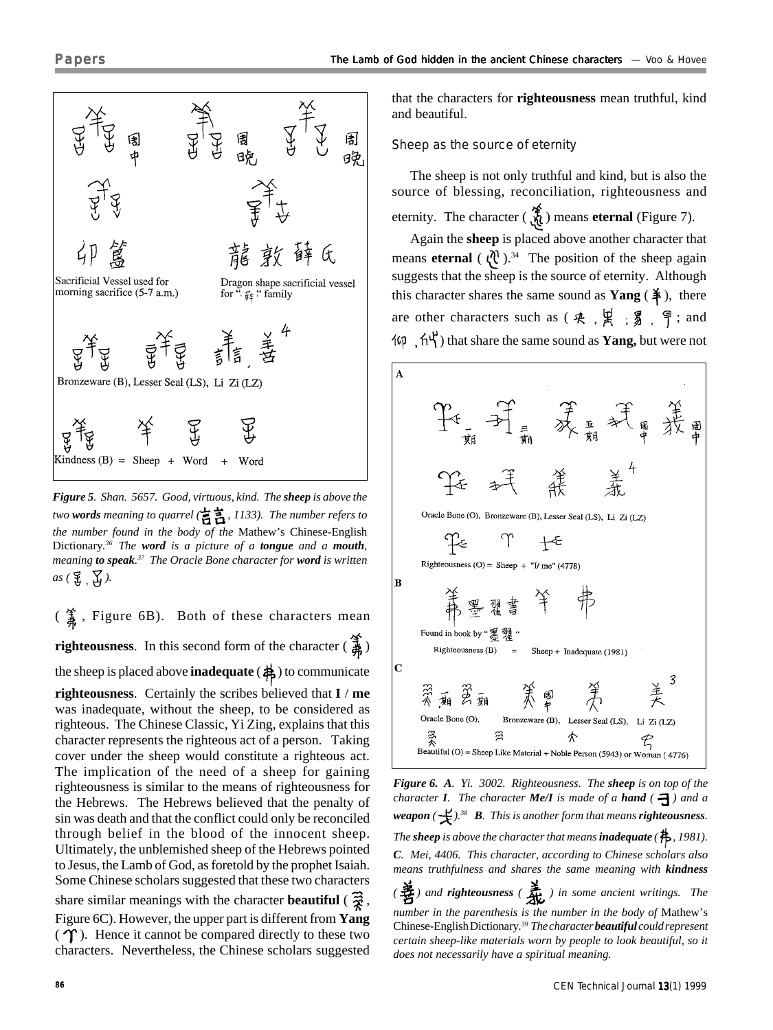

*Figure 5. Shan. 5657. Good, virtuous, kind. The sheep is above the two words meaning to quarrel ( , 1133). The number refers to the number found in the body of the* Mathew's Chinese-English Dictionary*. 36 The word is a picture of a tongue and a mouth, meaning to speak. 37 The Oracle Bone character for word is written*  $as \in \mathfrak{F}$ ,  $\mathfrak{F}$ ).

 $(\hat{\mathbf{\mathsf{A}}}$ , Figure 6B). Both of these characters mean **righteousness**. In this second form of the character  $\begin{pmatrix} \frac{\pi}{4} \\ \frac{\pi}{4} \end{pmatrix}$ the sheep is placed above **inadequate** ( $\clubsuit$ ) to communicate **righteousness**. Certainly the scribes believed that **I** / **me** was inadequate, without the sheep, to be considered as righteous. The Chinese Classic, Yi Zing, explains that this character represents the righteous act of a person. Taking

cover under the sheep would constitute a righteous act. The implication of the need of a sheep for gaining righteousness is similar to the means of righteousness for the Hebrews. The Hebrews believed that the penalty of sin was death and that the conflict could only be reconciled through belief in the blood of the innocent sheep. Ultimately, the unblemished sheep of the Hebrews pointed to Jesus, the Lamb of God, as foretold by the prophet Isaiah. Some Chinese scholars suggested that these two characters share similar meanings with the character **beautiful** ( $\hat{\mathbf{r}}$ ), Figure 6C). However, the upper part is different from **Yang**  $(\Upsilon)$ . Hence it cannot be compared directly to these two characters. Nevertheless, the Chinese scholars suggested that the characters for **righteousness** mean truthful, kind and beautiful.

## *Sheep as the source of eternity*

The sheep is not only truthful and kind, but is also the source of blessing, reconciliation, righteousness and eternity. The character ( ) means **eternal** (Figure 7).

Again the **sheep** is placed above another character that means **eternal**  $(\mathbf{R}^{\mathbf{N}})^{34}$  The position of the sheep again suggests that the sheep is the source of eternity. Although this character shares the same sound as **Yang** ( $\frac{*}{+}$ ), there are other characters such as  $(\circ, \circ, \circ)$   $\circ$   $\circ$   $\circ$   $\circ$   $\circ$   $\circ$   $\circ$  and ) that share the same sound as **Yang,** but were not



*Figure 6. A. Yi. 3002. Righteousness. The sheep is on top of the character I. The character <i>Me/I* is made of a *hand* ( $\bigoplus$ ) and a *weapon* ( $\neq$ ).<sup>38</sup> *B. This is another form that means <i>righteousness. The sheep is above the character that means <i>inadequate* ( $\uparrow$ , 1981). *C. Mei, 4406. This character, according to Chinese scholars also means truthfulness and shares the same meaning with kindness ( ) and righteousness ( ) in some ancient writings. The number in the parenthesis is the number in the body of* Mathew's Chinese-English Dictionary*. 39 The character beautiful could represent certain sheep-like materials worn by people to look beautiful, so it does not necessarily have a spiritual meaning.*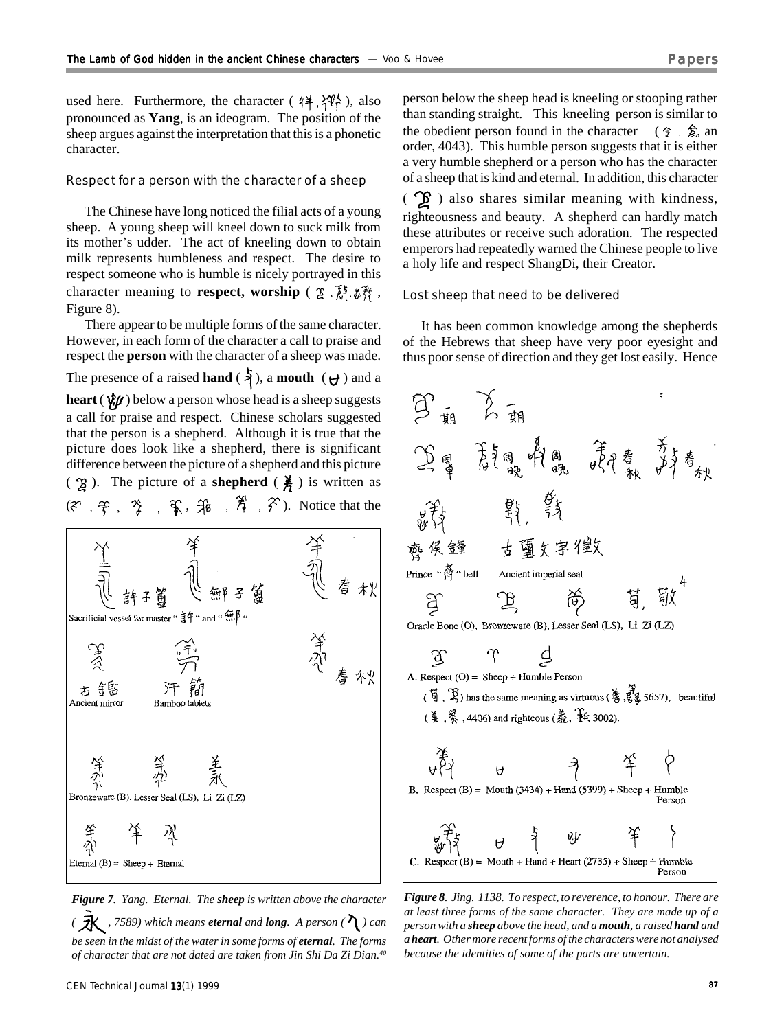used here. Furthermore, the character ( $\langle \frac{44}{7}, \frac{24}{7} \rangle$ , also pronounced as **Yang**, is an ideogram. The position of the sheep argues against the interpretation that this is a phonetic character.

#### *Respect for a person with the character of a sheep*

The Chinese have long noticed the filial acts of a young sheep. A young sheep will kneel down to suck milk from its mother's udder. The act of kneeling down to obtain milk represents humbleness and respect. The desire to respect someone who is humble is nicely portrayed in this character meaning to **respect**, worship ( $\mathfrak{X}$ ,  $\mathfrak{F}$ ,  $\mathfrak{F}$ ), Figure 8).

There appear to be multiple forms of the same character. However, in each form of the character a call to praise and respect the **person** with the character of a sheep was made. The presence of a raised **hand**  $({\frac{5}{2}})$ , a **mouth**  $({\frac{1}{2}})$  and a **heart** ( $\mathbf{\hat{y}}\hat{\boldsymbol{\mu}}$ ) below a person whose head is a sheep suggests a call for praise and respect. Chinese scholars suggested that the person is a shepherd. Although it is true that the picture does look like a shepherd, there is significant difference between the picture of a shepherd and this picture ( $\mathfrak{B}$ ). The picture of a **shepherd** ( $\frac{2}{\mathfrak{B}}$ ) is written as  $( \mathcal{E}^{\bullet} , \mathcal{F}^{\bullet} , \mathcal{E}^{\bullet} )$ ,  $\mathcal{E}^{\bullet}$ ,  $\mathcal{E}^{\bullet}$ ,  $\mathcal{E}^{\bullet}$ ,  $\mathcal{F}^{\bullet}$ ,  $\mathcal{F}^{\bullet}$ ). Notice that the



*Figure 7. Yang. Eternal. The sheep is written above the character*  $($   $\vec{\mathcal{R}}$   $,$  7589) which means *eternal* and *long*. A person ( $\lambda$ ) can *be seen in the midst of the water in some forms of eternal. The forms of character that are not dated are taken from Jin Shi Da Zi Dian.40*

person below the sheep head is kneeling or stooping rather than standing straight. This kneeling person is similar to the obedient person found in the character  $(\hat{z}, \hat{z})$  and order, 4043). This humble person suggests that it is either a very humble shepherd or a person who has the character of a sheep that is kind and eternal. In addition, this character

 $\circ$   $\circ$  ) also shares similar meaning with kindness, righteousness and beauty. A shepherd can hardly match these attributes or receive such adoration. The respected emperors had repeatedly warned the Chinese people to live a holy life and respect ShangDi, their Creator.

#### *Lost sheep that need to be delivered*

It has been common knowledge among the shepherds of the Hebrews that sheep have very poor eyesight and thus poor sense of direction and they get lost easily. Hence



*Figure 8. Jing. 1138. To respect, to reverence, to honour. There are at least three forms of the same character. They are made up of a person with a sheep above the head, and a mouth, a raised hand and a heart. Other more recent forms of the characters were not analysed because the identities of some of the parts are uncertain.*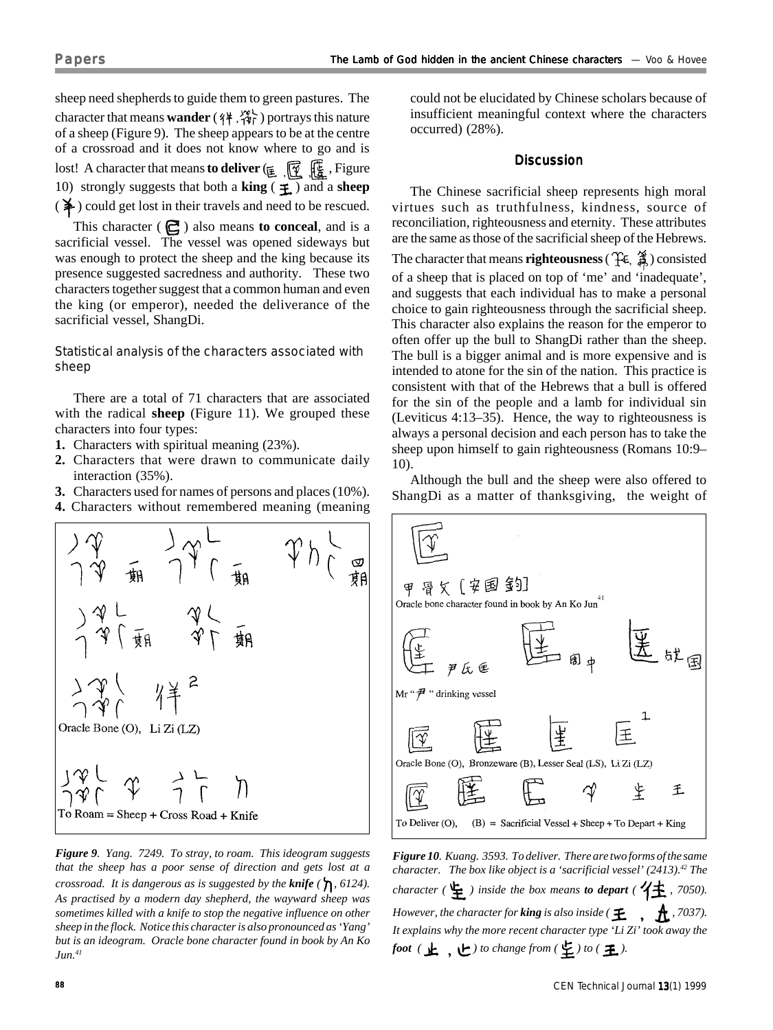sheep need shepherds to guide them to green pastures. The character that means **wander** ( $\frac{44}{10}$ ,  $\frac{4}{10}$ ) portrays this nature of a sheep (Figure 9). The sheep appears to be at the centre of a crossroad and it does not know where to go and is lost! A character that means **to deliver** ( $\mathbf{E}$ ,  $\mathbf{F}$ ,  $\mathbf{F}$ , Figure 10) strongly suggests that both a **king** ( $\pm$ ) and a **sheep**  $(\frac{\boldsymbol{*}}{\boldsymbol{*}})$  could get lost in their travels and need to be rescued.

This character  $\left( \bigodot$  also means **to conceal**, and is a sacrificial vessel. The vessel was opened sideways but was enough to protect the sheep and the king because its presence suggested sacredness and authority. These two characters together suggest that a common human and even the king (or emperor), needed the deliverance of the sacrificial vessel, ShangDi.

## *Statistical analysis of the characters associated with sheep*

There are a total of 71 characters that are associated with the radical **sheep** (Figure 11). We grouped these characters into four types:

- **1.** Characters with spiritual meaning (23%).
- **2.** Characters that were drawn to communicate daily interaction (35%).
- **3.** Characters used for names of persons and places (10%).
- **4.** Characters without remembered meaning (meaning

'o Roam = Sheep + Cross Road + Knife

*Figure 9. Yang. 7249. To stray, to roam. This ideogram suggests that the sheep has a poor sense of direction and gets lost at a crossroad. It is dangerous as is suggested by the knife (* $\eta$ *, 6124). As practised by a modern day shepherd, the wayward sheep was sometimes killed with a knife to stop the negative influence on other sheep in the flock. Notice this character is also pronounced as 'Yang' but is an ideogram. Oracle bone character found in book by An Ko Jun.41*

could not be elucidated by Chinese scholars because of insufficient meaningful context where the characters occurred) (28%).

#### **Discussion**

The Chinese sacrificial sheep represents high moral virtues such as truthfulness, kindness, source of reconciliation, righteousness and eternity. These attributes are the same as those of the sacrificial sheep of the Hebrews. The character that means **righteousness** ( $\hat{\mathcal{F}}\epsilon$ ,  $\hat{\hat{\mathbf{A}}}$ ) consisted of a sheep that is placed on top of 'me' and 'inadequate', and suggests that each individual has to make a personal choice to gain righteousness through the sacrificial sheep. This character also explains the reason for the emperor to often offer up the bull to ShangDi rather than the sheep. The bull is a bigger animal and is more expensive and is intended to atone for the sin of the nation. This practice is consistent with that of the Hebrews that a bull is offered for the sin of the people and a lamb for individual sin (Leviticus 4:13–35). Hence, the way to righteousness is always a personal decision and each person has to take the sheep upon himself to gain righteousness (Romans 10:9– 10).

Although the bull and the sheep were also offered to ShangDi as a matter of thanksgiving, the weight of



*Figure 10. Kuang. 3593. To deliver. There are two forms of the same character. The box like object is a 'sacrificial vessel' (2413).42 The character* ( $\bigstar$ ) *inside the box means <i>to depart* ( $\frac{4}{1}$ , 7050). *However, the character for king is also inside* ( $\pm$ ,  $\pm$ , 7037). *It explains why the more recent character type 'Li Zi' took away the*  $foot$   $(\n \pm \n , \n \pm)$  to change from  $(\n \pm)$  to  $(\n \pm \n )$ .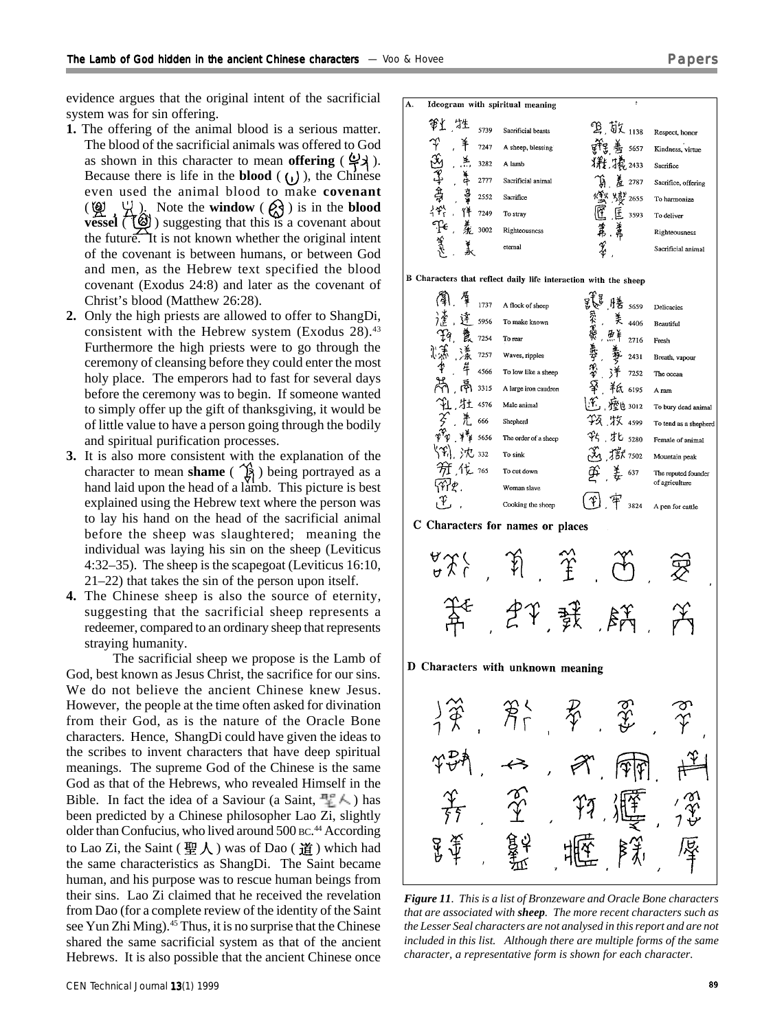Papers

evidence argues that the original intent of the sacrificial system was for sin offering.

- **1.** The offering of the animal blood is a serious matter. The blood of the sacrificial animals was offered to God as shown in this character to mean **offering** ( $\mathcal{Q}_\lambda$ ). Because there is life in the **blood**  $( \cdot )$ , the Chinese even used the animal blood to make **covenant**  $(\mathcal{A}, \mathcal{C})$ . Note the **window**  $(\mathcal{A})$  is in the **blood vessel** ( $\Box$ ) suggesting that this is a covenant about the future. It is not known whether the original intent of the covenant is between humans, or between God and men, as the Hebrew text specified the blood covenant (Exodus 24:8) and later as the covenant of Christ's blood (Matthew 26:28).
- **2.** Only the high priests are allowed to offer to ShangDi, consistent with the Hebrew system (Exodus  $28$ ).<sup>43</sup> Furthermore the high priests were to go through the ceremony of cleansing before they could enter the most holy place. The emperors had to fast for several days before the ceremony was to begin. If someone wanted to simply offer up the gift of thanksgiving, it would be of little value to have a person going through the bodily and spiritual purification processes.
- **3.** It is also more consistent with the explanation of the character to mean **shame**  $\left(\begin{array}{c} \sqrt{\lambda} \\ \sqrt{\lambda} \end{array}\right)$  being portrayed as a hand laid upon the head of a lamb. This picture is best explained using the Hebrew text where the person was to lay his hand on the head of the sacrificial animal before the sheep was slaughtered; meaning the individual was laying his sin on the sheep (Leviticus 4:32–35). The sheep is the scapegoat (Leviticus 16:10, 21–22) that takes the sin of the person upon itself.
- **4.** The Chinese sheep is also the source of eternity, suggesting that the sacrificial sheep represents a redeemer, compared to an ordinary sheep that represents straying humanity.

The sacrificial sheep we propose is the Lamb of God, best known as Jesus Christ, the sacrifice for our sins. We do not believe the ancient Chinese knew Jesus. However, the people at the time often asked for divination from their God, as is the nature of the Oracle Bone characters. Hence, ShangDi could have given the ideas to the scribes to invent characters that have deep spiritual meanings. The supreme God of the Chinese is the same God as that of the Hebrews, who revealed Himself in the Bible. In fact the idea of a Saviour (a Saint,  $\frac{\pi n}{4}$   $\wedge$  ) has been predicted by a Chinese philosopher Lao Zi, slightly older than Confucius, who lived around 500 Bc.<sup>44</sup> According to Lao Zi, the Saint ( 聖人) was of Dao ( 道) which had the same characteristics as ShangDi. The Saint became human, and his purpose was to rescue human beings from their sins. Lao Zi claimed that he received the revelation from Dao (for a complete review of the identity of the Saint see Yun Zhi Ming).<sup>45</sup> Thus, it is no surprise that the Chinese shared the same sacrificial system as that of the ancient Hebrews. It is also possible that the ancient Chinese once

| A. | таеодгаш with spiritual meaning |      |                    |                  |                     |
|----|---------------------------------|------|--------------------|------------------|---------------------|
|    | ФŁ<br>牡                         | 5739 | Sacrificial beasts | (B) 敬 1138       | Respect, honor      |
|    | 丯                               | 7247 | A sheep, blessing  | 姜<br>· 문<br>5657 | Kindness, virtue    |
|    | Ÿ<br>¥,                         | 3282 | A lamb             | (释,1羲2433        | Sacrifice           |
|    |                                 | 2777 | Sacrificial animal | Å<br>2787        | Sacrifice, offering |
|    | ğ                               | 2552 | Sacrifice          | 煤2655<br>燮       | To harmonize        |
|    |                                 | 7249 | To stray           | Œ<br>3593        | To deliver          |
|    |                                 | 3002 | Righteousness      |                  | Righteousness       |
|    | 貧                               |      | eternal            |                  | Sacrificial animal  |

B Characters that reflect daily life interaction with the sheep



C Characters for names or places



D Characters with unknown meaning



*Figure 11. This is a list of Bronzeware and Oracle Bone characters that are associated with sheep. The more recent characters such as the Lesser Seal characters are not analysed in this report and are not included in this list. Although there are multiple forms of the same character, a representative form is shown for each character.*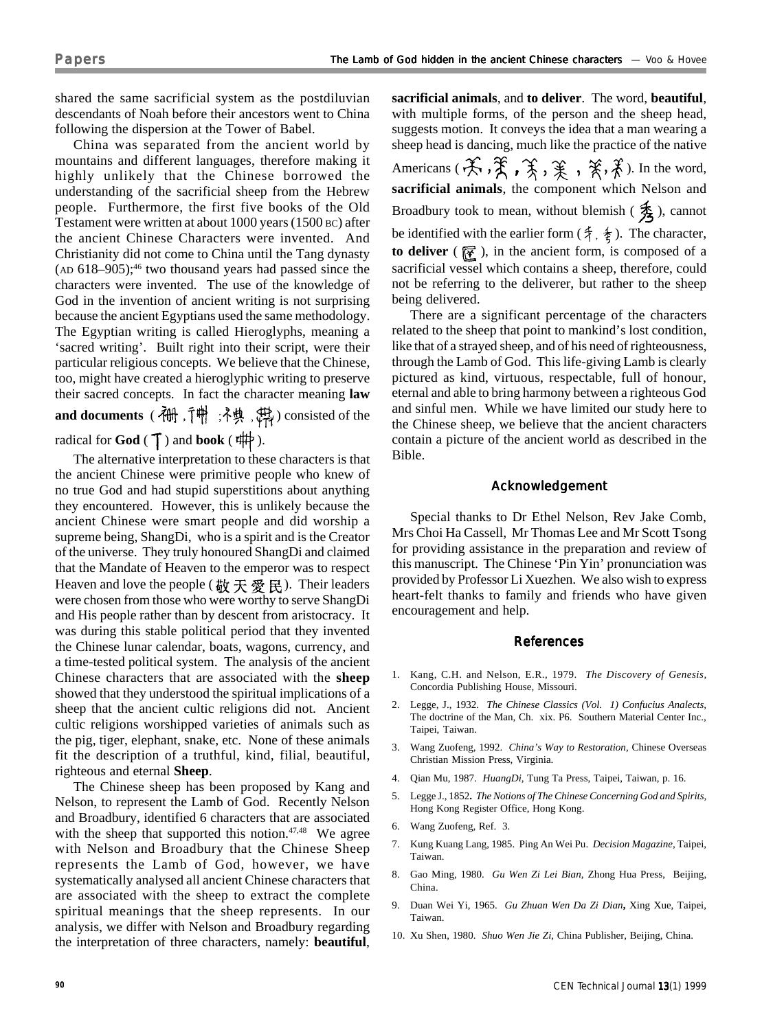shared the same sacrificial system as the postdiluvian descendants of Noah before their ancestors went to China following the dispersion at the Tower of Babel.

China was separated from the ancient world by mountains and different languages, therefore making it highly unlikely that the Chinese borrowed the understanding of the sacrificial sheep from the Hebrew people. Furthermore, the first five books of the Old Testament were written at about 1000 years (1500 BC) after the ancient Chinese Characters were invented. And Christianity did not come to China until the Tang dynasty (AD  $618-905$ );<sup>46</sup> two thousand years had passed since the characters were invented. The use of the knowledge of God in the invention of ancient writing is not surprising because the ancient Egyptians used the same methodology. The Egyptian writing is called Hieroglyphs, meaning a 'sacred writing'. Built right into their script, were their particular religious concepts. We believe that the Chinese, too, might have created a hieroglyphic writing to preserve their sacred concepts. In fact the character meaning **law** and documents (个), i<sup>+</sup> ,<sup>2</sup> , pp , consisted of the

radical for **God**  $(\uparrow)$  and **book**  $(\uparrow\uparrow\uparrow)$ .

The alternative interpretation to these characters is that the ancient Chinese were primitive people who knew of no true God and had stupid superstitions about anything they encountered. However, this is unlikely because the ancient Chinese were smart people and did worship a supreme being, ShangDi, who is a spirit and is the Creator of the universe. They truly honoured ShangDi and claimed that the Mandate of Heaven to the emperor was to respect Heaven and love the people (  $\frac{1}{W} \nrightarrow \mathcal{F}$  ). Their leaders were chosen from those who were worthy to serve ShangDi and His people rather than by descent from aristocracy. It was during this stable political period that they invented the Chinese lunar calendar, boats, wagons, currency, and a time-tested political system. The analysis of the ancient Chinese characters that are associated with the **sheep** showed that they understood the spiritual implications of a sheep that the ancient cultic religions did not. Ancient cultic religions worshipped varieties of animals such as the pig, tiger, elephant, snake, etc. None of these animals fit the description of a truthful, kind, filial, beautiful, righteous and eternal **Sheep**.

The Chinese sheep has been proposed by Kang and Nelson, to represent the Lamb of God. Recently Nelson and Broadbury, identified 6 characters that are associated with the sheep that supported this notion.<sup>47,48</sup> We agree with Nelson and Broadbury that the Chinese Sheep represents the Lamb of God, however, we have systematically analysed all ancient Chinese characters that are associated with the sheep to extract the complete spiritual meanings that the sheep represents. In our analysis, we differ with Nelson and Broadbury regarding the interpretation of three characters, namely: **beautiful**,

**sacrificial animals**, and **to deliver**. The word, **beautiful**, with multiple forms, of the person and the sheep head, suggests motion. It conveys the idea that a man wearing a sheep head is dancing, much like the practice of the native Americans (  $\star$  ,  $\star$  ,  $\star$  ,  $\star$  ,  $\star$  ,  $\star$  ,  $\star$  ). In the word, **sacrificial animals**, the component which Nelson and Broadbury took to mean, without blemish ( $\frac{2}{2}$ ), cannot be identified with the earlier form ( $\frac{4}{3}$ ,  $\frac{4}{5}$ ). The character, **to deliver** ( $\mathbb{R}$ ), in the ancient form, is composed of a sacrificial vessel which contains a sheep, therefore, could not be referring to the deliverer, but rather to the sheep being delivered.

There are a significant percentage of the characters related to the sheep that point to mankind's lost condition, like that of a strayed sheep, and of his need of righteousness, through the Lamb of God. This life-giving Lamb is clearly pictured as kind, virtuous, respectable, full of honour, eternal and able to bring harmony between a righteous God and sinful men. While we have limited our study here to the Chinese sheep, we believe that the ancient characters contain a picture of the ancient world as described in the Bible.

#### **Acknowledgement**

Special thanks to Dr Ethel Nelson, Rev Jake Comb, Mrs Choi Ha Cassell, Mr Thomas Lee and Mr Scott Tsong for providing assistance in the preparation and review of this manuscript. The Chinese 'Pin Yin' pronunciation was provided by Professor Li Xuezhen. We also wish to express heart-felt thanks to family and friends who have given encouragement and help.

#### References

- 1. Kang, C.H. and Nelson, E.R., 1979. *The Discovery of Genesis,* Concordia Publishing House, Missouri.
- 2. Legge, J., 1932. *The Chinese Classics (Vol. 1) Confucius Analects,* The doctrine of the Man, Ch. xix. P6. Southern Material Center Inc., Taipei, Taiwan.
- 3. Wang Zuofeng, 1992. *China's Way to Restoration,* Chinese Overseas Christian Mission Press, Virginia.
- 4. Qian Mu, 1987. *HuangDi,* Tung Ta Press, Taipei, Taiwan, p. 16.
- 5. Legge J., 1852**.** *The Notions of The Chinese Concerning God and Spirits,* Hong Kong Register Office, Hong Kong.
- 6. Wang Zuofeng, Ref. 3.
- 7. Kung Kuang Lang, 1985. Ping An Wei Pu.*Decision Magazine*, Taipei, Taiwan.
- 8. Gao Ming, 1980. *Gu Wen Zi Lei Bian,* Zhong Hua Press, Beijing, China.
- 9. Duan Wei Yi, 1965. *Gu Zhuan Wen Da Zi Dian***,** Xing Xue, Taipei, Taiwan.
- 10. Xu Shen, 1980. *Shuo Wen Jie Zi*, China Publisher, Beijing, China.